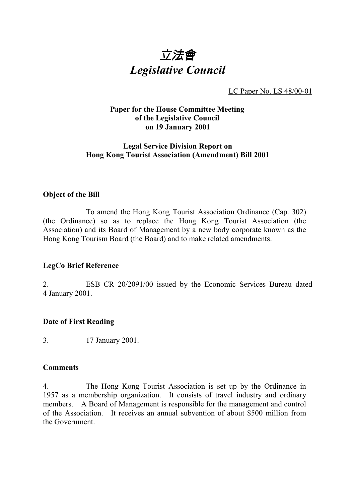

LC Paper No. LS 48/00-01

## **Paper for the House Committee Meeting of the Legislative Council on 19 January 2001**

# **Legal Service Division Report on Hong Kong Tourist Association (Amendment) Bill 2001**

#### **Object of the Bill**

To amend the Hong Kong Tourist Association Ordinance (Cap. 302) (the Ordinance) so as to replace the Hong Kong Tourist Association (the Association) and its Board of Management by a new body corporate known as the Hong Kong Tourism Board (the Board) and to make related amendments.

## **LegCo Brief Reference**

2. ESB CR 20/2091/00 issued by the Economic Services Bureau dated 4 January 2001.

## **Date of First Reading**

3. 17 January 2001.

#### **Comments**

4. The Hong Kong Tourist Association is set up by the Ordinance in 1957 as a membership organization. It consists of travel industry and ordinary members. A Board of Management is responsible for the management and control of the Association. It receives an annual subvention of about \$500 million from the Government.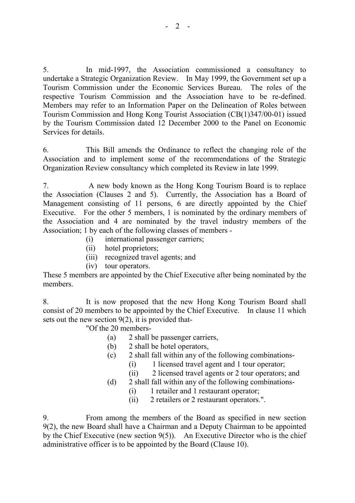5. In mid-1997, the Association commissioned a consultancy to undertake a Strategic Organization Review. In May 1999, the Government set up a Tourism Commission under the Economic Services Bureau. The roles of the respective Tourism Commission and the Association have to be re-defined. Members may refer to an Information Paper on the Delineation of Roles between Tourism Commission and Hong Kong Tourist Association (CB(1)347/00-01) issued by the Tourism Commission dated 12 December 2000 to the Panel on Economic Services for details.

6. This Bill amends the Ordinance to reflect the changing role of the Association and to implement some of the recommendations of the Strategic Organization Review consultancy which completed its Review in late 1999.

7. A new body known as the Hong Kong Tourism Board is to replace the Association (Clauses 2 and 5). Currently, the Association has a Board of Management consisting of 11 persons, 6 are directly appointed by the Chief Executive. For the other 5 members, 1 is nominated by the ordinary members of the Association and 4 are nominated by the travel industry members of the Association; 1 by each of the following classes of members -

- (i) international passenger carriers;
- (ii) hotel proprietors;
- (iii) recognized travel agents; and
- (iv) tour operators.

These 5 members are appointed by the Chief Executive after being nominated by the members.

8. It is now proposed that the new Hong Kong Tourism Board shall consist of 20 members to be appointed by the Chief Executive. In clause 11 which sets out the new section  $9(2)$ , it is provided that-

"Of the 20 members-

- (a) 2 shall be passenger carriers,
- (b) 2 shall be hotel operators,
- (c) 2 shall fall within any of the following combinations-
	- (i) 1 licensed travel agent and 1 tour operator;
	- (ii) 2 licensed travel agents or 2 tour operators; and
- (d) 2 shall fall within any of the following combinations-
	- (i) 1 retailer and 1 restaurant operator;
	- (ii) 2 retailers or 2 restaurant operators.".

9. From among the members of the Board as specified in new section 9(2), the new Board shall have a Chairman and a Deputy Chairman to be appointed by the Chief Executive (new section 9(5)). An Executive Director who is the chief administrative officer is to be appointed by the Board (Clause 10).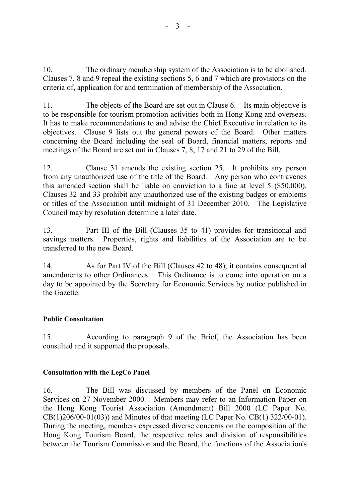10. The ordinary membership system of the Association is to be abolished. Clauses 7, 8 and 9 repeal the existing sections 5, 6 and 7 which are provisions on the criteria of, application for and termination of membership of the Association.

11. The objects of the Board are set out in Clause 6. Its main objective is to be responsible for tourism promotion activities both in Hong Kong and overseas. It has to make recommendations to and advise the Chief Executive in relation to its objectives. Clause 9 lists out the general powers of the Board. Other matters concerning the Board including the seal of Board, financial matters, reports and meetings of the Board are set out in Clauses 7, 8, 17 and 21 to 29 of the Bill.

12. Clause 31 amends the existing section 25. It prohibits any person from any unauthorized use of the title of the Board. Any person who contravenes this amended section shall be liable on conviction to a fine at level 5 (\$50,000). Clauses 32 and 33 prohibit any unauthorized use of the existing badges or emblems or titles of the Association until midnight of 31 December 2010. The Legislative Council may by resolution determine a later date.

13. Part III of the Bill (Clauses 35 to 41) provides for transitional and savings matters. Properties, rights and liabilities of the Association are to be transferred to the new Board.

14. As for Part IV of the Bill (Clauses 42 to 48), it contains consequential amendments to other Ordinances. This Ordinance is to come into operation on a day to be appointed by the Secretary for Economic Services by notice published in the Gazette.

## **Public Consultation**

15. According to paragraph 9 of the Brief, the Association has been consulted and it supported the proposals.

## **Consultation with the LegCo Panel**

16. The Bill was discussed by members of the Panel on Economic Services on 27 November 2000. Members may refer to an Information Paper on the Hong Kong Tourist Association (Amendment) Bill 2000 (LC Paper No. CB(1)206/00-01(03)) and Minutes of that meeting (LC Paper No. CB(1) 322/00-01). During the meeting, members expressed diverse concerns on the composition of the Hong Kong Tourism Board, the respective roles and division of responsibilities between the Tourism Commission and the Board, the functions of the Association's